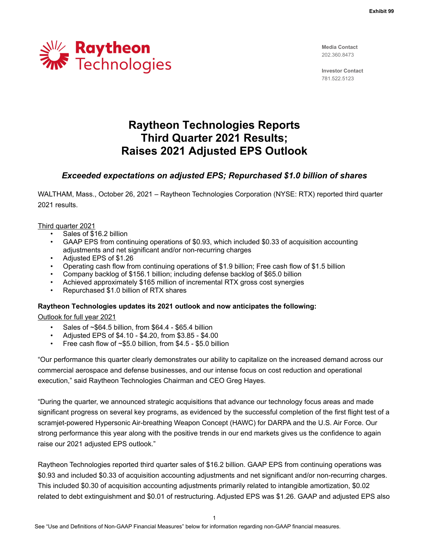

**Media Contact** 202.360.8473

**Investor Contact** 781.522.5123

# **Raytheon Technologies Reports Third Quarter 2021 Results; Raises 2021 Adjusted EPS Outlook**

# *Exceeded expectations on adjusted EPS; Repurchased \$1.0 billion of shares*

WALTHAM, Mass., October 26, 2021 – Raytheon Technologies Corporation (NYSE: RTX) reported third quarter 2021 results.

#### Third quarter 2021

- Sales of \$16.2 billion
- GAAP EPS from continuing operations of \$0.93, which included \$0.33 of acquisition accounting adjustments and net significant and/or non-recurring charges
- Adjusted EPS of \$1.26
- Operating cash flow from continuing operations of \$1.9 billion; Free cash flow of \$1.5 billion
- Company backlog of \$156.1 billion; including defense backlog of \$65.0 billion
- Achieved approximately \$165 million of incremental RTX gross cost synergies
- Repurchased \$1.0 billion of RTX shares

# **Raytheon Technologies updates its 2021 outlook and now anticipates the following:**

#### Outlook for full year 2021

- Sales of ~\$64.5 billion, from \$64.4 \$65.4 billion
- Adjusted EPS of \$4.10 \$4.20, from \$3.85 \$4.00
- Free cash flow of  $~5.0$  billion, from \$4.5 \$5.0 billion

"Our performance this quarter clearly demonstrates our ability to capitalize on the increased demand across our commercial aerospace and defense businesses, and our intense focus on cost reduction and operational execution," said Raytheon Technologies Chairman and CEO Greg Hayes.

"During the quarter, we announced strategic acquisitions that advance our technology focus areas and made significant progress on several key programs, as evidenced by the successful completion of the first flight test of a scramjet-powered Hypersonic Air-breathing Weapon Concept (HAWC) for DARPA and the U.S. Air Force. Our strong performance this year along with the positive trends in our end markets gives us the confidence to again raise our 2021 adjusted EPS outlook."

Raytheon Technologies reported third quarter sales of \$16.2 billion. GAAP EPS from continuing operations was \$0.93 and included \$0.33 of acquisition accounting adjustments and net significant and/or non-recurring charges. This included \$0.30 of acquisition accounting adjustments primarily related to intangible amortization, \$0.02 related to debt extinguishment and \$0.01 of restructuring. Adjusted EPS was \$1.26. GAAP and adjusted EPS also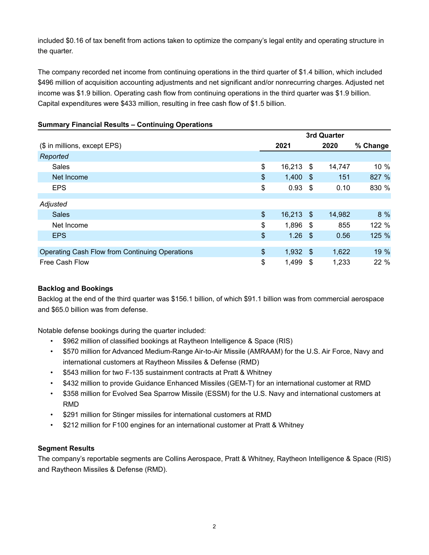included \$0.16 of tax benefit from actions taken to optimize the company's legal entity and operating structure in the quarter.

The company recorded net income from continuing operations in the third quarter of \$1.4 billion, which included \$496 million of acquisition accounting adjustments and net significant and/or nonrecurring charges. Adjusted net income was \$1.9 billion. Operating cash flow from continuing operations in the third quarter was \$1.9 billion. Capital expenditures were \$433 million, resulting in free cash flow of \$1.5 billion.

|                                                | 3rd Quarter   |             |      |        |          |  |  |  |  |
|------------------------------------------------|---------------|-------------|------|--------|----------|--|--|--|--|
| (\$ in millions, except EPS)                   |               | 2021        |      | 2020   | % Change |  |  |  |  |
| Reported                                       |               |             |      |        |          |  |  |  |  |
| Sales                                          | \$            | 16,213      | \$   | 14,747 | 10 %     |  |  |  |  |
| Net Income                                     | \$            | 1,400       | - \$ | 151    | 827 %    |  |  |  |  |
| <b>EPS</b>                                     | \$            | 0.93        | - \$ | 0.10   | 830 %    |  |  |  |  |
| Adjusted                                       |               |             |      |        |          |  |  |  |  |
| <b>Sales</b>                                   | \$            | $16,213$ \$ |      | 14,982 | 8 %      |  |  |  |  |
| Net Income                                     | \$            | 1,896       | - \$ | 855    | 122 %    |  |  |  |  |
| <b>EPS</b>                                     | $\frac{1}{2}$ | 1.26        | - \$ | 0.56   | 125 %    |  |  |  |  |
|                                                |               |             |      |        |          |  |  |  |  |
| Operating Cash Flow from Continuing Operations | \$            | 1,932       | - \$ | 1,622  | 19 %     |  |  |  |  |
| Free Cash Flow                                 | \$            | 1,499       | -\$  | 1,233  | 22 %     |  |  |  |  |

# **Summary Financial Results – Continuing Operations**

# **Backlog and Bookings**

Backlog at the end of the third quarter was \$156.1 billion, of which \$91.1 billion was from commercial aerospace and \$65.0 billion was from defense.

Notable defense bookings during the quarter included:

- \$962 million of classified bookings at Raytheon Intelligence & Space (RIS)
- \$570 million for Advanced Medium-Range Air-to-Air Missile (AMRAAM) for the U.S. Air Force, Navy and international customers at Raytheon Missiles & Defense (RMD)
- \$543 million for two F-135 sustainment contracts at Pratt & Whitney
- \$432 million to provide Guidance Enhanced Missiles (GEM-T) for an international customer at RMD
- \$358 million for Evolved Sea Sparrow Missile (ESSM) for the U.S. Navy and international customers at RMD
- \$291 million for Stinger missiles for international customers at RMD
- \$212 million for F100 engines for an international customer at Pratt & Whitney

# **Segment Results**

The company's reportable segments are Collins Aerospace, Pratt & Whitney, Raytheon Intelligence & Space (RIS) and Raytheon Missiles & Defense (RMD).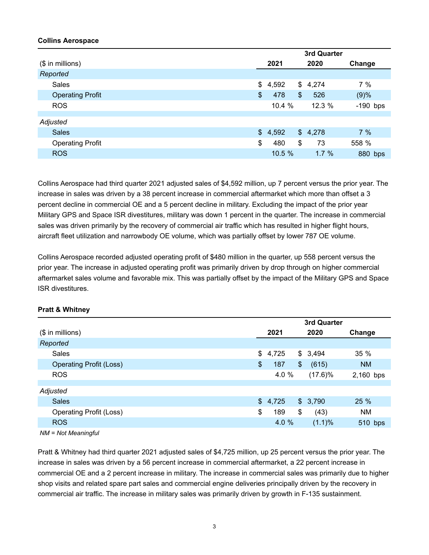# **Collins Aerospace**

|                         | 3rd Quarter |         |    |         |            |  |  |
|-------------------------|-------------|---------|----|---------|------------|--|--|
| $($$ in millions)       |             | 2021    |    | 2020    | Change     |  |  |
| Reported                |             |         |    |         |            |  |  |
| Sales                   | \$          | 4,592   | \$ | 4,274   | 7%         |  |  |
| <b>Operating Profit</b> | \$          | 478     | \$ | 526     | (9)%       |  |  |
| <b>ROS</b>              |             | 10.4 %  |    | 12.3 %  | $-190$ bps |  |  |
|                         |             |         |    |         |            |  |  |
| Adjusted                |             |         |    |         |            |  |  |
| <b>Sales</b>            |             | \$4,592 |    | \$4,278 | 7%         |  |  |
| <b>Operating Profit</b> | \$          | 480     | \$ | 73      | 558 %      |  |  |
| <b>ROS</b>              |             | 10.5%   |    | 1.7%    | 880 bps    |  |  |

Collins Aerospace had third quarter 2021 adjusted sales of \$4,592 million, up 7 percent versus the prior year. The increase in sales was driven by a 38 percent increase in commercial aftermarket which more than offset a 3 percent decline in commercial OE and a 5 percent decline in military. Excluding the impact of the prior year Military GPS and Space ISR divestitures, military was down 1 percent in the quarter. The increase in commercial sales was driven primarily by the recovery of commercial air traffic which has resulted in higher flight hours, aircraft fleet utilization and narrowbody OE volume, which was partially offset by lower 787 OE volume.

Collins Aerospace recorded adjusted operating profit of \$480 million in the quarter, up 558 percent versus the prior year. The increase in adjusted operating profit was primarily driven by drop through on higher commercial aftermarket sales volume and favorable mix. This was partially offset by the impact of the Military GPS and Space ISR divestitures.

|                                | 3rd Quarter |    |            |           |  |  |  |  |
|--------------------------------|-------------|----|------------|-----------|--|--|--|--|
| $($$ in millions)              | 2021        |    | 2020       | Change    |  |  |  |  |
| Reported                       |             |    |            |           |  |  |  |  |
| Sales                          | \$4,725     |    | \$3,494    | 35 %      |  |  |  |  |
| <b>Operating Profit (Loss)</b> | \$<br>187   | \$ | (615)      | <b>NM</b> |  |  |  |  |
| <b>ROS</b>                     | 4.0 %       |    | $(17.6)\%$ | 2,160 bps |  |  |  |  |
|                                |             |    |            |           |  |  |  |  |
| Adjusted                       |             |    |            |           |  |  |  |  |
| <b>Sales</b>                   | \$4,725     |    | \$3,790    | 25 %      |  |  |  |  |
| <b>Operating Profit (Loss)</b> | \$<br>189   | \$ | (43)       | NM        |  |  |  |  |
| <b>ROS</b>                     | 4.0 %       |    | (1.1)%     | 510 bps   |  |  |  |  |
|                                |             |    |            |           |  |  |  |  |

# **Pratt & Whitney**

*NM = Not Meaningful*

Pratt & Whitney had third quarter 2021 adjusted sales of \$4,725 million, up 25 percent versus the prior year. The increase in sales was driven by a 56 percent increase in commercial aftermarket, a 22 percent increase in commercial OE and a 2 percent increase in military. The increase in commercial sales was primarily due to higher shop visits and related spare part sales and commercial engine deliveries principally driven by the recovery in commercial air traffic. The increase in military sales was primarily driven by growth in F-135 sustainment.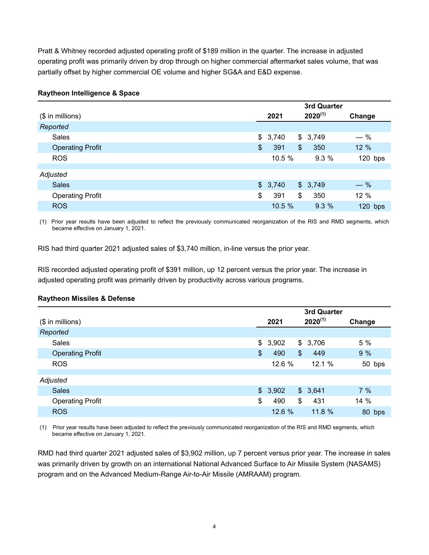Pratt & Whitney recorded adjusted operating profit of \$189 million in the quarter. The increase in adjusted operating profit was primarily driven by drop through on higher commercial aftermarket sales volume, that was partially offset by higher commercial OE volume and higher SG&A and E&D expense.

# **Raytheon Intelligence & Space**

|                         | 3rd Quarter |         |    |              |           |  |
|-------------------------|-------------|---------|----|--------------|-----------|--|
| $($$ in millions)       |             | 2021    |    | $2020^{(1)}$ | Change    |  |
| Reported                |             |         |    |              |           |  |
| <b>Sales</b>            |             | \$3,740 |    | \$3,749      | $-$ %     |  |
| <b>Operating Profit</b> | \$          | 391     | \$ | 350          | 12 %      |  |
| <b>ROS</b>              |             | 10.5 %  |    | 9.3%         | $120$ bps |  |
|                         |             |         |    |              |           |  |
| Adjusted                |             |         |    |              |           |  |
| <b>Sales</b>            |             | \$3,740 |    | \$3,749      | $-$ %     |  |
| <b>Operating Profit</b> | \$          | 391     | \$ | 350          | 12 %      |  |
| <b>ROS</b>              |             | 10.5%   |    | 9.3%         | $120$ bps |  |

(1) Prior year results have been adjusted to reflect the previously communicated reorganization of the RIS and RMD segments, which became effective on January 1, 2021.

RIS had third quarter 2021 adjusted sales of \$3,740 million, in-line versus the prior year.

RIS recorded adjusted operating profit of \$391 million, up 12 percent versus the prior year. The increase in adjusted operating profit was primarily driven by productivity across various programs.

# **Raytheon Missiles & Defense**

|                         | 3rd Quarter |         |                |              |        |  |  |  |
|-------------------------|-------------|---------|----------------|--------------|--------|--|--|--|
| $($$ in millions)       | 2021        |         |                | $2020^{(1)}$ | Change |  |  |  |
| Reported                |             |         |                |              |        |  |  |  |
| Sales                   |             | \$3,902 |                | \$3,706      | 5 %    |  |  |  |
| <b>Operating Profit</b> | \$          | 490     | $\mathfrak{S}$ | 449          | 9%     |  |  |  |
| <b>ROS</b>              |             | 12.6 %  |                | 12.1 %       | 50 bps |  |  |  |
|                         |             |         |                |              |        |  |  |  |
| Adjusted                |             |         |                |              |        |  |  |  |
| <b>Sales</b>            |             | \$3,902 |                | \$3,641      | 7%     |  |  |  |
| <b>Operating Profit</b> | \$          | 490     | \$             | 431          | 14 %   |  |  |  |
| <b>ROS</b>              |             | 12.6 %  |                | 11.8%        | 80 bps |  |  |  |

(1) Prior year results have been adjusted to reflect the previously communicated reorganization of the RIS and RMD segments, which became effective on January 1, 2021.

RMD had third quarter 2021 adjusted sales of \$3,902 million, up 7 percent versus prior year. The increase in sales was primarily driven by growth on an international National Advanced Surface to Air Missile System (NASAMS) program and on the Advanced Medium-Range Air-to-Air Missile (AMRAAM) program.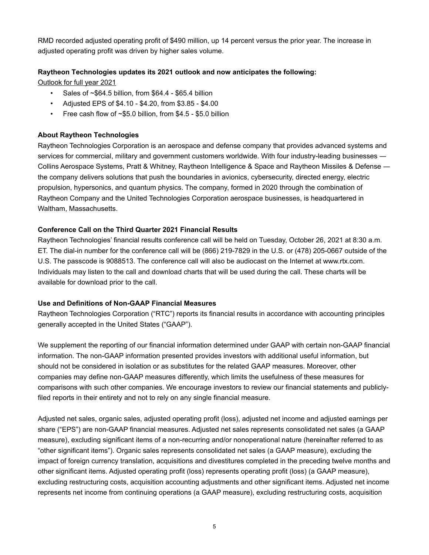RMD recorded adjusted operating profit of \$490 million, up 14 percent versus the prior year. The increase in adjusted operating profit was driven by higher sales volume.

# **Raytheon Technologies updates its 2021 outlook and now anticipates the following:**

Outlook for full year 2021

- Sales of ~\$64.5 billion, from \$64.4 \$65.4 billion
- Adjusted EPS of \$4.10 \$4.20, from \$3.85 \$4.00
- Free cash flow of  $~5.0$  billion, from \$4.5 \$5.0 billion

# **About Raytheon Technologies**

Raytheon Technologies Corporation is an aerospace and defense company that provides advanced systems and services for commercial, military and government customers worldwide. With four industry-leading businesses ― Collins Aerospace Systems, Pratt & Whitney, Raytheon Intelligence & Space and Raytheon Missiles & Defense ― the company delivers solutions that push the boundaries in avionics, cybersecurity, directed energy, electric propulsion, hypersonics, and quantum physics. The company, formed in 2020 through the combination of Raytheon Company and the United Technologies Corporation aerospace businesses, is headquartered in Waltham, Massachusetts.

# **Conference Call on the Third Quarter 2021 Financial Results**

Raytheon Technologies' financial results conference call will be held on Tuesday, October 26, 2021 at 8:30 a.m. ET. The dial-in number for the conference call will be (866) 219-7829 in the U.S. or (478) 205-0667 outside of the U.S. The passcode is 9088513. The conference call will also be audiocast on the Internet at www.rtx.com. Individuals may listen to the call and download charts that will be used during the call. These charts will be available for download prior to the call.

# **Use and Definitions of Non-GAAP Financial Measures**

Raytheon Technologies Corporation ("RTC") reports its financial results in accordance with accounting principles generally accepted in the United States ("GAAP").

We supplement the reporting of our financial information determined under GAAP with certain non-GAAP financial information. The non-GAAP information presented provides investors with additional useful information, but should not be considered in isolation or as substitutes for the related GAAP measures. Moreover, other companies may define non-GAAP measures differently, which limits the usefulness of these measures for comparisons with such other companies. We encourage investors to review our financial statements and publiclyfiled reports in their entirety and not to rely on any single financial measure.

Adjusted net sales, organic sales, adjusted operating profit (loss), adjusted net income and adjusted earnings per share ("EPS") are non-GAAP financial measures. Adjusted net sales represents consolidated net sales (a GAAP measure), excluding significant items of a non-recurring and/or nonoperational nature (hereinafter referred to as "other significant items"). Organic sales represents consolidated net sales (a GAAP measure), excluding the impact of foreign currency translation, acquisitions and divestitures completed in the preceding twelve months and other significant items. Adjusted operating profit (loss) represents operating profit (loss) (a GAAP measure), excluding restructuring costs, acquisition accounting adjustments and other significant items. Adjusted net income represents net income from continuing operations (a GAAP measure), excluding restructuring costs, acquisition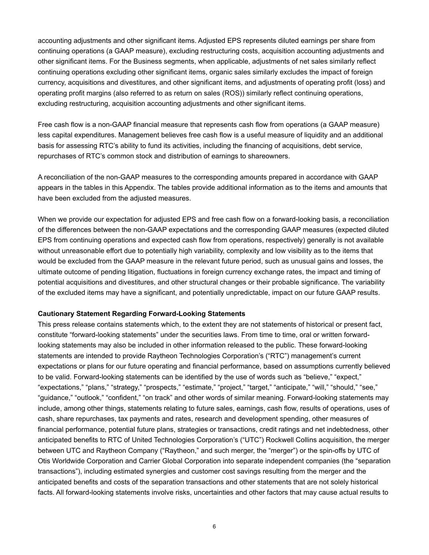accounting adjustments and other significant items. Adjusted EPS represents diluted earnings per share from continuing operations (a GAAP measure), excluding restructuring costs, acquisition accounting adjustments and other significant items. For the Business segments, when applicable, adjustments of net sales similarly reflect continuing operations excluding other significant items, organic sales similarly excludes the impact of foreign currency, acquisitions and divestitures, and other significant items, and adjustments of operating profit (loss) and operating profit margins (also referred to as return on sales (ROS)) similarly reflect continuing operations, excluding restructuring, acquisition accounting adjustments and other significant items.

Free cash flow is a non-GAAP financial measure that represents cash flow from operations (a GAAP measure) less capital expenditures. Management believes free cash flow is a useful measure of liquidity and an additional basis for assessing RTC's ability to fund its activities, including the financing of acquisitions, debt service, repurchases of RTC's common stock and distribution of earnings to shareowners.

A reconciliation of the non-GAAP measures to the corresponding amounts prepared in accordance with GAAP appears in the tables in this Appendix. The tables provide additional information as to the items and amounts that have been excluded from the adjusted measures.

When we provide our expectation for adjusted EPS and free cash flow on a forward-looking basis, a reconciliation of the differences between the non-GAAP expectations and the corresponding GAAP measures (expected diluted EPS from continuing operations and expected cash flow from operations, respectively) generally is not available without unreasonable effort due to potentially high variability, complexity and low visibility as to the items that would be excluded from the GAAP measure in the relevant future period, such as unusual gains and losses, the ultimate outcome of pending litigation, fluctuations in foreign currency exchange rates, the impact and timing of potential acquisitions and divestitures, and other structural changes or their probable significance. The variability of the excluded items may have a significant, and potentially unpredictable, impact on our future GAAP results.

#### **Cautionary Statement Regarding Forward-Looking Statements**

This press release contains statements which, to the extent they are not statements of historical or present fact, constitute "forward-looking statements" under the securities laws. From time to time, oral or written forwardlooking statements may also be included in other information released to the public. These forward-looking statements are intended to provide Raytheon Technologies Corporation's ("RTC") management's current expectations or plans for our future operating and financial performance, based on assumptions currently believed to be valid. Forward-looking statements can be identified by the use of words such as "believe," "expect," "expectations," "plans," "strategy," "prospects," "estimate," "project," "target," "anticipate," "will," "should," "see," "guidance," "outlook," "confident," "on track" and other words of similar meaning. Forward-looking statements may include, among other things, statements relating to future sales, earnings, cash flow, results of operations, uses of cash, share repurchases, tax payments and rates, research and development spending, other measures of financial performance, potential future plans, strategies or transactions, credit ratings and net indebtedness, other anticipated benefits to RTC of United Technologies Corporation's ("UTC") Rockwell Collins acquisition, the merger between UTC and Raytheon Company ("Raytheon," and such merger, the "merger") or the spin-offs by UTC of Otis Worldwide Corporation and Carrier Global Corporation into separate independent companies (the "separation transactions"), including estimated synergies and customer cost savings resulting from the merger and the anticipated benefits and costs of the separation transactions and other statements that are not solely historical facts. All forward-looking statements involve risks, uncertainties and other factors that may cause actual results to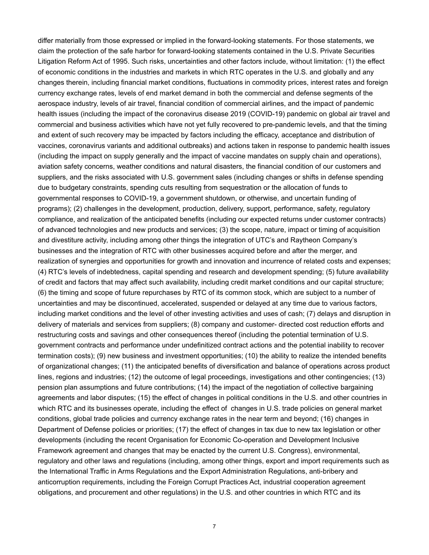differ materially from those expressed or implied in the forward-looking statements. For those statements, we claim the protection of the safe harbor for forward-looking statements contained in the U.S. Private Securities Litigation Reform Act of 1995. Such risks, uncertainties and other factors include, without limitation: (1) the effect of economic conditions in the industries and markets in which RTC operates in the U.S. and globally and any changes therein, including financial market conditions, fluctuations in commodity prices, interest rates and foreign currency exchange rates, levels of end market demand in both the commercial and defense segments of the aerospace industry, levels of air travel, financial condition of commercial airlines, and the impact of pandemic health issues (including the impact of the coronavirus disease 2019 (COVID-19) pandemic on global air travel and commercial and business activities which have not yet fully recovered to pre-pandemic levels, and that the timing and extent of such recovery may be impacted by factors including the efficacy, acceptance and distribution of vaccines, coronavirus variants and additional outbreaks) and actions taken in response to pandemic health issues (including the impact on supply generally and the impact of vaccine mandates on supply chain and operations), aviation safety concerns, weather conditions and natural disasters, the financial condition of our customers and suppliers, and the risks associated with U.S. government sales (including changes or shifts in defense spending due to budgetary constraints, spending cuts resulting from sequestration or the allocation of funds to governmental responses to COVID-19, a government shutdown, or otherwise, and uncertain funding of programs); (2) challenges in the development, production, delivery, support, performance, safety, regulatory compliance, and realization of the anticipated benefits (including our expected returns under customer contracts) of advanced technologies and new products and services; (3) the scope, nature, impact or timing of acquisition and divestiture activity, including among other things the integration of UTC's and Raytheon Company's businesses and the integration of RTC with other businesses acquired before and after the merger, and realization of synergies and opportunities for growth and innovation and incurrence of related costs and expenses; (4) RTC's levels of indebtedness, capital spending and research and development spending; (5) future availability of credit and factors that may affect such availability, including credit market conditions and our capital structure; (6) the timing and scope of future repurchases by RTC of its common stock, which are subject to a number of uncertainties and may be discontinued, accelerated, suspended or delayed at any time due to various factors, including market conditions and the level of other investing activities and uses of cash; (7) delays and disruption in delivery of materials and services from suppliers; (8) company and customer- directed cost reduction efforts and restructuring costs and savings and other consequences thereof (including the potential termination of U.S. government contracts and performance under undefinitized contract actions and the potential inability to recover termination costs); (9) new business and investment opportunities; (10) the ability to realize the intended benefits of organizational changes; (11) the anticipated benefits of diversification and balance of operations across product lines, regions and industries; (12) the outcome of legal proceedings, investigations and other contingencies; (13) pension plan assumptions and future contributions; (14) the impact of the negotiation of collective bargaining agreements and labor disputes; (15) the effect of changes in political conditions in the U.S. and other countries in which RTC and its businesses operate, including the effect of changes in U.S. trade policies on general market conditions, global trade policies and currency exchange rates in the near term and beyond; (16) changes in Department of Defense policies or priorities; (17) the effect of changes in tax due to new tax legislation or other developments (including the recent Organisation for Economic Co-operation and Development Inclusive Framework agreement and changes that may be enacted by the current U.S. Congress), environmental, regulatory and other laws and regulations (including, among other things, export and import requirements such as the International Traffic in Arms Regulations and the Export Administration Regulations, anti-bribery and anticorruption requirements, including the Foreign Corrupt Practices Act, industrial cooperation agreement obligations, and procurement and other regulations) in the U.S. and other countries in which RTC and its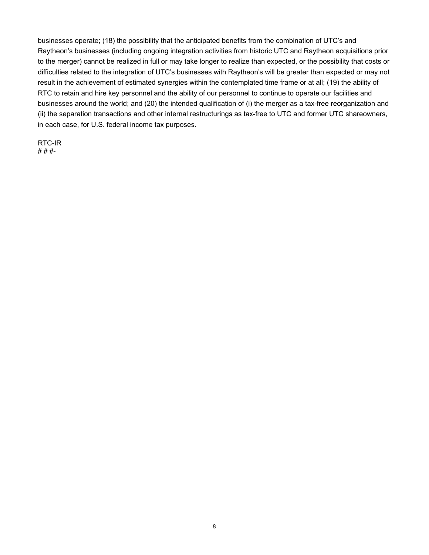businesses operate; (18) the possibility that the anticipated benefits from the combination of UTC's and Raytheon's businesses (including ongoing integration activities from historic UTC and Raytheon acquisitions prior to the merger) cannot be realized in full or may take longer to realize than expected, or the possibility that costs or difficulties related to the integration of UTC's businesses with Raytheon's will be greater than expected or may not result in the achievement of estimated synergies within the contemplated time frame or at all; (19) the ability of RTC to retain and hire key personnel and the ability of our personnel to continue to operate our facilities and businesses around the world; and (20) the intended qualification of (i) the merger as a tax-free reorganization and (ii) the separation transactions and other internal restructurings as tax-free to UTC and former UTC shareowners, in each case, for U.S. federal income tax purposes.

RTC-IR # # #-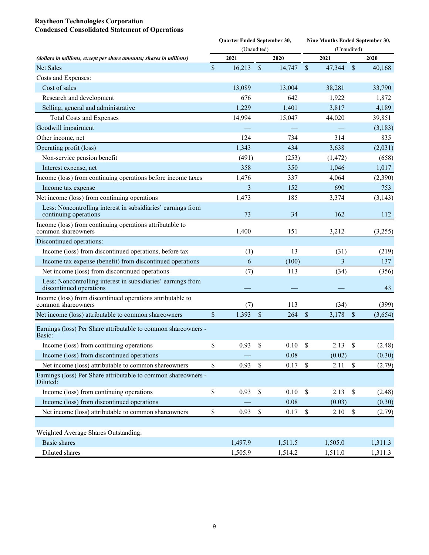#### **Raytheon Technologies Corporation Condensed Consolidated Statement of Operations**

|                                                                                         | Quarter Ended September 30, |             |               |         |                           | Nine Months Ended September 30, |              |          |  |  |  |  |
|-----------------------------------------------------------------------------------------|-----------------------------|-------------|---------------|---------|---------------------------|---------------------------------|--------------|----------|--|--|--|--|
|                                                                                         |                             | (Unaudited) |               |         |                           | (Unaudited)                     |              |          |  |  |  |  |
| (dollars in millions, except per share amounts; shares in millions)                     |                             | 2021        |               | 2020    |                           | 2021                            |              | 2020     |  |  |  |  |
| Net Sales                                                                               | $\sqrt{\ }$                 | 16,213      | \$            | 14,747  | $\boldsymbol{\mathsf{S}}$ | 47,344                          | $\$$         | 40,168   |  |  |  |  |
| Costs and Expenses:                                                                     |                             |             |               |         |                           |                                 |              |          |  |  |  |  |
| Cost of sales                                                                           |                             | 13,089      |               | 13,004  |                           | 38,281                          |              | 33,790   |  |  |  |  |
| Research and development                                                                |                             | 676         |               | 642     |                           | 1,922                           |              | 1,872    |  |  |  |  |
| Selling, general and administrative                                                     |                             | 1,229       |               | 1,401   |                           | 3,817                           |              | 4,189    |  |  |  |  |
| <b>Total Costs and Expenses</b>                                                         |                             | 14,994      |               | 15,047  |                           | 44,020                          |              | 39,851   |  |  |  |  |
| Goodwill impairment                                                                     |                             |             |               |         |                           |                                 |              | (3,183)  |  |  |  |  |
| Other income, net                                                                       |                             | 124         |               | 734     |                           | 314                             |              | 835      |  |  |  |  |
| Operating profit (loss)                                                                 |                             | 1,343       |               | 434     |                           | 3,638                           |              | (2,031)  |  |  |  |  |
| Non-service pension benefit                                                             |                             | (491)       |               | (253)   |                           | (1, 472)                        |              | (658)    |  |  |  |  |
| Interest expense, net                                                                   |                             | 358         |               | 350     |                           | 1,046                           |              | 1,017    |  |  |  |  |
| Income (loss) from continuing operations before income taxes                            |                             | 1,476       |               | 337     |                           | 4,064                           |              | (2,390)  |  |  |  |  |
| Income tax expense                                                                      |                             | 3           |               | 152     |                           | 690                             |              | 753      |  |  |  |  |
| Net income (loss) from continuing operations                                            |                             | 1,473       |               | 185     |                           | 3,374                           |              | (3, 143) |  |  |  |  |
| Less: Noncontrolling interest in subsidiaries' earnings from<br>continuing operations   |                             | 73          |               | 34      |                           | 162                             |              | 112      |  |  |  |  |
| Income (loss) from continuing operations attributable to<br>common shareowners          |                             | 1,400       |               | 151     |                           | 3,212                           |              | (3,255)  |  |  |  |  |
| Discontinued operations:                                                                |                             |             |               |         |                           |                                 |              |          |  |  |  |  |
| Income (loss) from discontinued operations, before tax                                  |                             | (1)         |               | 13      |                           | (31)                            |              | (219)    |  |  |  |  |
| Income tax expense (benefit) from discontinued operations                               |                             | 6           |               | (100)   |                           | 3                               |              | 137      |  |  |  |  |
| Net income (loss) from discontinued operations                                          |                             | (7)         |               | 113     |                           | (34)                            |              | (356)    |  |  |  |  |
| Less: Noncontrolling interest in subsidiaries' earnings from<br>discontinued operations |                             |             |               |         |                           |                                 |              | 43       |  |  |  |  |
| Income (loss) from discontinued operations attributable to<br>common shareowners        |                             | (7)         |               | 113     |                           | (34)                            |              | (399)    |  |  |  |  |
| Net income (loss) attributable to common shareowners                                    | \$                          | 1,393       | $\sqrt{3}$    | 264     | \$                        | 3,178                           | $\mathbb{S}$ | (3,654)  |  |  |  |  |
| Earnings (loss) Per Share attributable to common shareowners -<br>Basic:                |                             |             |               |         |                           |                                 |              |          |  |  |  |  |
| Income (loss) from continuing operations                                                | \$                          | 0.93        | \$            | 0.10    | \$                        | 2.13                            | \$           | (2.48)   |  |  |  |  |
| Income (loss) from discontinued operations                                              |                             |             |               | 0.08    |                           | (0.02)                          |              | (0.30)   |  |  |  |  |
| Net income (loss) attributable to common shareowners                                    | \$                          | 0.93        | $\mathcal{S}$ | 0.17    | $\mathbb{S}$              | 2.11                            | $\mathbb S$  | (2.79)   |  |  |  |  |
| Earnings (loss) Per Share attributable to common shareowners -<br>Diluted:              |                             |             |               |         |                           |                                 |              |          |  |  |  |  |
| Income (loss) from continuing operations                                                | \$                          | 0.93        | $\mathbb{S}$  | 0.10    | $\mathbb{S}$              | 2.13                            | $\mathbb S$  | (2.48)   |  |  |  |  |
| Income (loss) from discontinued operations                                              |                             |             |               | 0.08    |                           | (0.03)                          |              | (0.30)   |  |  |  |  |
| Net income (loss) attributable to common shareowners                                    | $\mathbb{S}$                | 0.93        | $\mathbb{S}$  | 0.17    | $\boldsymbol{\mathsf{S}}$ | 2.10                            | \$           | (2.79)   |  |  |  |  |
|                                                                                         |                             |             |               |         |                           |                                 |              |          |  |  |  |  |
| Weighted Average Shares Outstanding:                                                    |                             |             |               |         |                           |                                 |              |          |  |  |  |  |
| <b>Basic</b> shares                                                                     |                             | 1,497.9     |               | 1,511.5 |                           | 1,505.0                         |              | 1,311.3  |  |  |  |  |
| Diluted shares                                                                          |                             | 1,505.9     |               | 1,514.2 |                           | 1,511.0                         |              | 1,311.3  |  |  |  |  |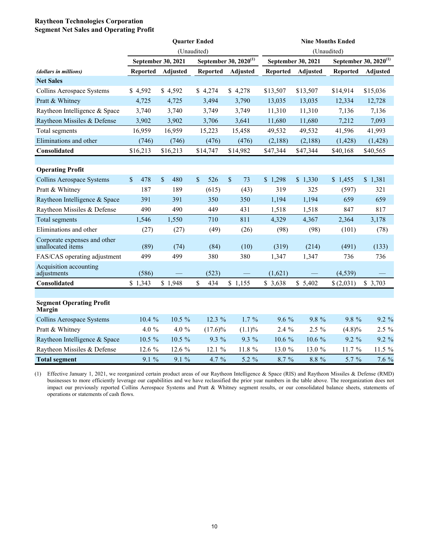#### **Raytheon Technologies Corporation Segment Net Sales and Operating Profit**

|                                                   |                 |                    | <b>Quarter Ended</b> |                                   | <b>Nine Months Ended</b> |                    |                 |                                   |  |  |
|---------------------------------------------------|-----------------|--------------------|----------------------|-----------------------------------|--------------------------|--------------------|-----------------|-----------------------------------|--|--|
|                                                   |                 |                    | (Unaudited)          |                                   |                          | (Unaudited)        |                 |                                   |  |  |
|                                                   |                 | September 30, 2021 |                      | September 30, 2020 <sup>(1)</sup> |                          | September 30, 2021 |                 | September 30, 2020 <sup>(1)</sup> |  |  |
| (dollars in millions)                             | <b>Reported</b> | Adjusted           | <b>Reported</b>      | <b>Adjusted</b>                   | <b>Reported</b>          | Adjusted           | <b>Reported</b> | <b>Adjusted</b>                   |  |  |
| <b>Net Sales</b>                                  |                 |                    |                      |                                   |                          |                    |                 |                                   |  |  |
| Collins Aerospace Systems                         | \$4,592         | \$4,592            | \$4,274              | \$4,278                           | \$13,507                 | \$13,507           | \$14,914        | \$15,036                          |  |  |
| Pratt & Whitney                                   | 4,725           | 4,725              | 3,494                | 3,790                             | 13,035                   | 13,035             | 12,334          | 12,728                            |  |  |
| Raytheon Intelligence & Space                     | 3,740           | 3,740              | 3,749                | 3,749                             | 11,310                   | 11,310             | 7,136           | 7,136                             |  |  |
| Raytheon Missiles & Defense                       | 3,902           | 3,902              | 3,706                | 3,641                             | 11,680                   | 11,680             | 7,212           | 7,093                             |  |  |
| Total segments                                    | 16,959          | 16,959             | 15,223               | 15,458                            | 49,532                   | 49,532             | 41,596          | 41,993                            |  |  |
| Eliminations and other                            | (746)           | (746)              | (476)                | (476)                             | (2,188)                  | (2,188)            | (1, 428)        | (1, 428)                          |  |  |
| Consolidated                                      | \$16,213        | \$16,213           | \$14,747             | \$14,982                          | \$47,344                 | \$47,344           | \$40,168        | \$40,565                          |  |  |
|                                                   |                 |                    |                      |                                   |                          |                    |                 |                                   |  |  |
| <b>Operating Profit</b>                           |                 |                    |                      |                                   |                          |                    |                 |                                   |  |  |
| Collins Aerospace Systems                         | 478<br>\$       | \$<br>480          | \$<br>526            | $\sqrt{\ }$<br>73                 | \$1,298                  | \$1,330            | \$1,455         | \$1,381                           |  |  |
| Pratt & Whitney                                   | 187             | 189                | (615)                | (43)                              | 319                      | 325                | (597)           | 321                               |  |  |
| Raytheon Intelligence & Space                     | 391             | 391                | 350                  | 350                               | 1,194                    | 1,194              | 659             | 659                               |  |  |
| Raytheon Missiles & Defense                       | 490             | 490                | 449                  | 431                               | 1,518                    | 1,518              | 847             | 817                               |  |  |
| Total segments                                    | 1,546           | 1,550              | 710                  | 811                               | 4,329                    | 4,367              | 2,364           | 3,178                             |  |  |
| Eliminations and other                            | (27)            | (27)               | (49)                 | (26)                              | (98)                     | (98)               | (101)           | (78)                              |  |  |
| Corporate expenses and other<br>unallocated items | (89)            | (74)               | (84)                 | (10)                              | (319)                    | (214)              | (491)           | (133)                             |  |  |
| FAS/CAS operating adjustment                      | 499             | 499                | 380                  | 380                               | 1,347                    | 1,347              | 736             | 736                               |  |  |
| Acquisition accounting<br>adjustments             | (586)           |                    | (523)                |                                   | (1,621)                  |                    | (4, 539)        |                                   |  |  |
| Consolidated                                      | \$1,343         | \$1,948            | \$<br>434            | \$1,155                           | \$3,638                  | \$5,402            | \$(2,031)       | \$3,703                           |  |  |
|                                                   |                 |                    |                      |                                   |                          |                    |                 |                                   |  |  |
| <b>Segment Operating Profit</b><br>Margin         |                 |                    |                      |                                   |                          |                    |                 |                                   |  |  |
| Collins Aerospace Systems                         | 10.4 %          | 10.5 %             | 12.3 %               | $1.7\%$                           | 9.6 %                    | 9.8 %              | 9.8 %           | 9.2 %                             |  |  |
| Pratt & Whitney                                   | 4.0 $%$         | 4.0 $%$            | $(17.6)\%$           | (1.1)%                            | $2.4\%$                  | $2.5\%$            | (4.8)%          | 2.5 %                             |  |  |
| Raytheon Intelligence & Space                     | 10.5 %          | 10.5 %             | 9.3 %                | 9.3 %                             | 10.6 %                   | 10.6 %             | 9.2 %           | $9.2 \%$                          |  |  |
| Raytheon Missiles & Defense                       | 12.6 %          | 12.6 %             | 12.1 %               | 11.8 %                            | 13.0 %                   | 13.0 %             | 11.7 %          | 11.5 %                            |  |  |
| <b>Total segment</b>                              | 9.1 %           | 9.1%               | 4.7 %                | 5.2 %                             | 8.7 %                    | 8.8 %              | 5.7 %           | 7.6 %                             |  |  |

(1) Effective January 1, 2021, we reorganized certain product areas of our Raytheon Intelligence & Space (RIS) and Raytheon Missiles & Defense (RMD) businesses to more efficiently leverage our capabilities and we have reclassified the prior year numbers in the table above. The reorganization does not impact our previously reported Collins Aerospace Systems and Pratt & Whitney segment results, or our consolidated balance sheets, statements of operations or statements of cash flows.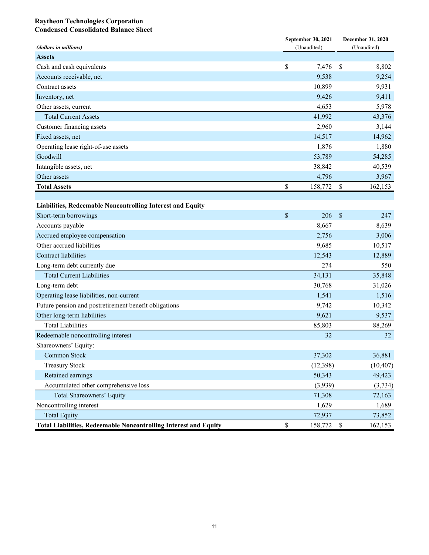#### **Raytheon Technologies Corporation Condensed Consolidated Balance Sheet**

| (dollars in millions)                                                   | September 30, 2021<br>(Unaudited) | December 31, 2020<br>(Unaudited) |           |  |
|-------------------------------------------------------------------------|-----------------------------------|----------------------------------|-----------|--|
| <b>Assets</b>                                                           |                                   |                                  |           |  |
| Cash and cash equivalents                                               | \$<br>7,476                       | \$                               | 8,802     |  |
| Accounts receivable, net                                                | 9,538                             |                                  | 9,254     |  |
| Contract assets                                                         | 10,899                            |                                  | 9,931     |  |
| Inventory, net                                                          | 9,426                             |                                  | 9,411     |  |
| Other assets, current                                                   | 4,653                             |                                  | 5,978     |  |
| <b>Total Current Assets</b>                                             | 41,992                            |                                  | 43,376    |  |
| Customer financing assets                                               | 2,960                             |                                  | 3,144     |  |
| Fixed assets, net                                                       | 14,517                            |                                  | 14,962    |  |
| Operating lease right-of-use assets                                     | 1,876                             |                                  | 1,880     |  |
| Goodwill                                                                | 53,789                            |                                  | 54,285    |  |
| Intangible assets, net                                                  | 38,842                            |                                  | 40,539    |  |
| Other assets                                                            | 4,796                             |                                  | 3,967     |  |
| <b>Total Assets</b>                                                     | \$<br>158,772                     | \$                               | 162,153   |  |
|                                                                         |                                   |                                  |           |  |
| Liabilities, Redeemable Noncontrolling Interest and Equity              |                                   |                                  |           |  |
| Short-term borrowings                                                   | \$<br>206                         | $\boldsymbol{\mathsf{S}}$        | 247       |  |
| Accounts payable                                                        | 8,667                             |                                  | 8,639     |  |
| Accrued employee compensation                                           | 2,756                             |                                  | 3,006     |  |
| Other accrued liabilities                                               | 9,685                             |                                  | 10,517    |  |
| Contract liabilities                                                    | 12,543                            |                                  | 12,889    |  |
| Long-term debt currently due                                            | 274                               |                                  | 550       |  |
| <b>Total Current Liabilities</b>                                        | 34,131                            |                                  | 35,848    |  |
| Long-term debt                                                          | 30,768                            |                                  | 31,026    |  |
| Operating lease liabilities, non-current                                | 1,541                             |                                  | 1,516     |  |
| Future pension and postretirement benefit obligations                   | 9,742                             |                                  | 10,342    |  |
| Other long-term liabilities                                             | 9,621                             |                                  | 9,537     |  |
| <b>Total Liabilities</b>                                                | 85,803                            |                                  | 88,269    |  |
| Redeemable noncontrolling interest                                      | 32                                |                                  | 32        |  |
| Shareowners' Equity:                                                    |                                   |                                  |           |  |
| Common Stock                                                            | 37,302                            |                                  | 36,881    |  |
| <b>Treasury Stock</b>                                                   | (12, 398)                         |                                  | (10, 407) |  |
| Retained earnings                                                       | 50,343                            |                                  | 49,423    |  |
| Accumulated other comprehensive loss                                    | (3,939)                           |                                  | (3, 734)  |  |
| Total Shareowners' Equity                                               | 71,308                            |                                  | 72,163    |  |
| Noncontrolling interest                                                 | 1,629                             |                                  | 1,689     |  |
| <b>Total Equity</b>                                                     | 72,937                            |                                  | 73,852    |  |
| <b>Total Liabilities, Redeemable Noncontrolling Interest and Equity</b> | \$<br>158,772                     | - \$                             | 162,153   |  |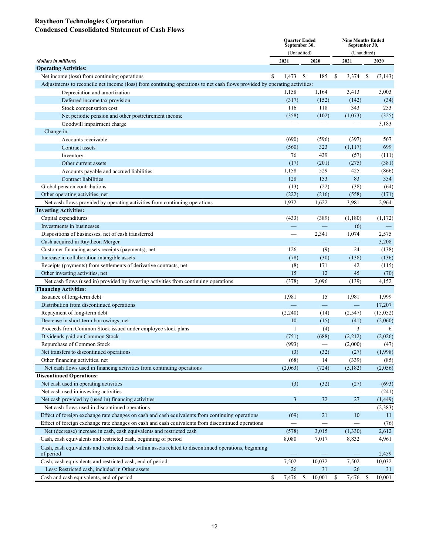#### **Raytheon Technologies Corporation Condensed Consolidated Statement of Cash Flows**

|                                                                                                                           |                          | <b>Quarter Ended</b><br>September 30, | <b>Nine Months Ended</b><br>September 30, |                          |    |              |  |
|---------------------------------------------------------------------------------------------------------------------------|--------------------------|---------------------------------------|-------------------------------------------|--------------------------|----|--------------|--|
|                                                                                                                           |                          | (Unaudited)                           |                                           | (Unaudited)              |    |              |  |
| (dollars in millions)                                                                                                     | 2021                     | 2020                                  |                                           | 2021                     |    | 2020         |  |
| <b>Operating Activities:</b>                                                                                              |                          |                                       |                                           |                          |    |              |  |
| Net income (loss) from continuing operations                                                                              | S<br>1,473               | \$<br>185                             | -S                                        | 3,374                    | \$ | (3,143)      |  |
| Adjustments to reconcile net income (loss) from continuing operations to net cash flows provided by operating activities: |                          |                                       |                                           |                          |    |              |  |
| Depreciation and amortization                                                                                             | 1,158                    | 1,164                                 |                                           | 3,413                    |    | 3,003        |  |
| Deferred income tax provision                                                                                             | (317)                    | (152)                                 |                                           | (142)                    |    | (34)         |  |
| Stock compensation cost                                                                                                   | 116                      | 118                                   |                                           | 343                      |    | 253          |  |
| Net periodic pension and other postretirement income                                                                      | (358)                    | (102)                                 |                                           | (1,073)                  |    | (325)        |  |
| Goodwill impairment charge                                                                                                |                          |                                       |                                           |                          |    | 3,183        |  |
| Change in:                                                                                                                |                          |                                       |                                           |                          |    |              |  |
| Accounts receivable                                                                                                       | (690)                    | (596)                                 |                                           | (397)                    |    | 567          |  |
| Contract assets                                                                                                           | (560)                    | 323                                   |                                           | (1,117)                  |    | 699          |  |
| Inventory                                                                                                                 | 76                       | 439                                   |                                           | (57)                     |    | (111)        |  |
| Other current assets                                                                                                      | (17)                     | (201)                                 |                                           | (275)                    |    | (381)        |  |
| Accounts payable and accrued liabilities                                                                                  | 1,158                    | 529                                   |                                           | 425                      |    | (866)        |  |
| Contract liabilities                                                                                                      | 128                      | 153                                   |                                           | 83                       |    | 354          |  |
| Global pension contributions                                                                                              | (13)                     | (22)                                  |                                           | (38)                     |    | (64)         |  |
| Other operating activities, net                                                                                           | (222)                    | (216)                                 |                                           | (558)                    |    | (171)        |  |
| Net cash flows provided by operating activities from continuing operations                                                | 1,932                    | 1,622                                 |                                           | 3,981                    |    | 2,964        |  |
| <b>Investing Activities:</b>                                                                                              |                          |                                       |                                           |                          |    |              |  |
| Capital expenditures                                                                                                      | (433)                    | (389)                                 |                                           | (1,180)                  |    | (1,172)      |  |
| Investments in businesses                                                                                                 |                          | $\overline{\phantom{0}}$              |                                           | (6)                      |    |              |  |
| Dispositions of businesses, net of cash transferred                                                                       |                          | 2,341                                 |                                           | 1,074                    |    | 2,575        |  |
| Cash acquired in Raytheon Merger                                                                                          |                          | $\equiv$                              |                                           | $\overline{\phantom{0}}$ |    | 3,208        |  |
| Customer financing assets receipts (payments), net                                                                        | 126                      | (9)                                   |                                           | 24                       |    | (138)        |  |
| Increase in collaboration intangible assets                                                                               | (78)                     | (30)                                  |                                           | (138)                    |    | (136)        |  |
| Receipts (payments) from settlements of derivative contracts, net                                                         | (8)                      | 171                                   |                                           | 42                       |    | (115)        |  |
| Other investing activities, net                                                                                           | 15                       | 12                                    |                                           | 45                       |    | (70)         |  |
| Net cash flows (used in) provided by investing activities from continuing operations                                      | (378)                    | 2,096                                 |                                           | (139)                    |    | 4,152        |  |
| <b>Financing Activities:</b>                                                                                              |                          |                                       |                                           |                          |    |              |  |
| Issuance of long-term debt                                                                                                | 1,981                    | 15                                    |                                           | 1,981                    |    | 1,999        |  |
| Distribution from discontinued operations                                                                                 |                          | $\equiv$                              |                                           | $\equiv$                 |    | 17,207       |  |
| Repayment of long-term debt                                                                                               | (2,240)                  | (14)                                  |                                           | (2,547)                  |    | (15,052)     |  |
| Decrease in short-term borrowings, net                                                                                    | 10                       | (15)                                  |                                           | (41)                     |    | (2,060)      |  |
| Proceeds from Common Stock issued under employee stock plans                                                              | 1                        | (4)                                   |                                           | 3                        |    | 6            |  |
| Dividends paid on Common Stock                                                                                            | (751)                    | (688)                                 |                                           | (2,212)                  |    | (2,026)      |  |
| Repurchase of Common Stock                                                                                                | (993)                    |                                       |                                           | (2,000)                  |    | (47)         |  |
| Net transfers to discontinued operations                                                                                  | (3)                      | (32)                                  |                                           | (27)                     |    | (1,998)      |  |
| Other financing activities, net                                                                                           | (68)                     | 14                                    |                                           | (339)                    |    | (85)         |  |
| Net cash flows used in financing activities from continuing operations                                                    | (2,063)                  | (724)                                 |                                           | (5,182)                  |    | (2,056)      |  |
| <b>Discontinued Operations:</b>                                                                                           |                          |                                       |                                           |                          |    |              |  |
| Net cash used in operating activities                                                                                     | (3)                      | (32)                                  |                                           | (27)                     |    | (693)        |  |
| Net cash used in investing activities                                                                                     |                          |                                       |                                           | —                        |    | (241)        |  |
| Net cash provided by (used in) financing activities                                                                       | 3                        | 32                                    |                                           | 27                       |    | (1, 449)     |  |
| Net cash flows used in discontinued operations                                                                            | $\overline{\phantom{0}}$ | $\overline{\phantom{0}}$              |                                           | $\overline{\phantom{0}}$ |    | (2,383)      |  |
| Effect of foreign exchange rate changes on cash and cash equivalents from continuing operations                           | (69)                     | 21                                    |                                           | 10                       |    | 11           |  |
| Effect of foreign exchange rate changes on cash and cash equivalents from discontinued operations                         | $\overline{\phantom{0}}$ |                                       |                                           |                          |    | (76)         |  |
| Net (decrease) increase in cash, cash equivalents and restricted cash                                                     | (578)                    | 3,015                                 |                                           | (1, 330)                 |    | 2,612        |  |
| Cash, cash equivalents and restricted cash, beginning of period                                                           | 8,080                    | 7,017                                 |                                           | 8,832                    |    | 4,961        |  |
| Cash, cash equivalents and restricted cash within assets related to discontinued operations, beginning                    |                          |                                       |                                           |                          |    |              |  |
| of period                                                                                                                 |                          |                                       |                                           |                          |    | 2,459        |  |
| Cash, cash equivalents and restricted cash, end of period                                                                 | 7,502                    | 10,032                                |                                           | 7,502                    |    | 10,032       |  |
| Less: Restricted cash, included in Other assets                                                                           | 26<br>\$                 | 31<br>10,001                          | \$                                        | 26                       |    | 31<br>10,001 |  |
| Cash and cash equivalents, end of period                                                                                  | 7,476                    | \$                                    |                                           | 7,476                    | \$ |              |  |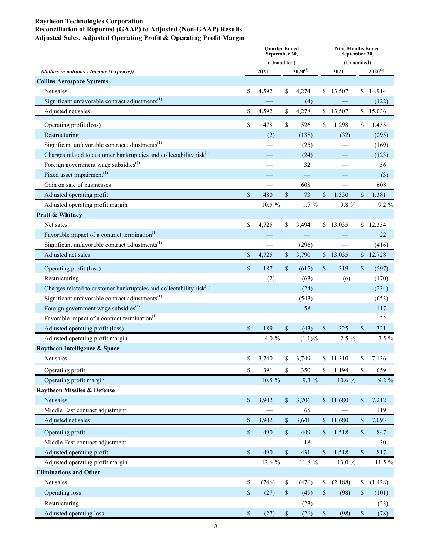#### **Raytheon Technologies Corporation Reconciliation of Reported (GAAP) to Adjusted (Non-GAAP) Results Adjusted Sales, Adjusted Operating Profit & Operating Profit Margin**

|                                                                                 | <b>Ouarter Ended</b><br>September 30, |             |               |              |              | <b>Nine Months Ended</b><br>September 30, |      |              |  |  |
|---------------------------------------------------------------------------------|---------------------------------------|-------------|---------------|--------------|--------------|-------------------------------------------|------|--------------|--|--|
|                                                                                 |                                       | (Unaudited) |               |              | (Unaudited)  |                                           |      |              |  |  |
| (dollars in millions - Income (Expense))                                        |                                       | 2021        |               | $2020^{(2)}$ |              | 2021                                      |      | $2020^{(2)}$ |  |  |
| <b>Collins Aerospace Systems</b>                                                |                                       |             |               |              |              |                                           |      |              |  |  |
| Net sales                                                                       | \$                                    | 4,592       | \$            | 4,274        | S.           | 13,507                                    | \$   | 14,914       |  |  |
| Significant unfavorable contract adjustments $^{(1)}$                           |                                       |             |               | (4)          |              |                                           |      | (122)        |  |  |
| Adjusted net sales                                                              | \$                                    | 4,592       | \$            | 4,278        |              | \$13,507                                  |      | \$15,036     |  |  |
| Operating profit (loss)                                                         | \$                                    | 478         | \$            | 526          | \$           | 1,298                                     | \$   | 1,455        |  |  |
| Restructuring                                                                   |                                       | (2)         |               | (138)        |              | (32)                                      |      | (295)        |  |  |
| Significant unfavorable contract adjustments $^{(1)}$                           |                                       |             |               | (25)         |              |                                           |      | (169)        |  |  |
| Charges related to customer bankruptcies and collectability risk <sup>(1)</sup> |                                       |             |               | (24)         |              |                                           |      | (123)        |  |  |
| Foreign government wage subsidies <sup>(1)</sup>                                |                                       |             |               | 32           |              |                                           |      | 56           |  |  |
| Fixed asset impairment <sup>(1)</sup>                                           |                                       |             |               |              |              |                                           |      | (3)          |  |  |
| Gain on sale of businesses                                                      |                                       |             |               | 608          |              |                                           |      | 608          |  |  |
| Adjusted operating profit                                                       | $\$$                                  | 480         | $\mathcal{S}$ | 73           | \$           | 1,330                                     | \$   | 1,381        |  |  |
| Adjusted operating profit margin                                                |                                       | 10.5 %      |               | $1.7\%$      |              | 9.8 %                                     |      | 9.2 %        |  |  |
| Pratt & Whitney                                                                 |                                       |             |               |              |              |                                           |      |              |  |  |
| Net sales                                                                       | \$                                    | 4,725       | \$            | 3,494        |              | \$13,035                                  |      | \$12,334     |  |  |
| Favorable impact of a contract termination <sup>(1)</sup>                       |                                       |             |               |              |              |                                           |      | 22           |  |  |
| Significant unfavorable contract adjustments <sup>(1)</sup>                     |                                       |             |               | (296)        |              |                                           |      | (416)        |  |  |
| Adjusted net sales                                                              | \$                                    | 4,725       | \$            | 3,790        |              | \$13,035                                  |      | \$12,728     |  |  |
| Operating profit (loss)                                                         | $\mathbf S$                           | 187         | \$            | (615)        | $\mathbb{S}$ | 319                                       | \$   | (597)        |  |  |
| Restructuring                                                                   |                                       | (2)         |               | (63)         |              | (6)                                       |      | (170)        |  |  |
| Charges related to customer bankruptcies and collectability risk <sup>(1)</sup> |                                       |             |               | (24)         |              |                                           |      | (234)        |  |  |
| Significant unfavorable contract adjustments $^{(1)}$                           |                                       |             |               | (543)        |              |                                           |      | (653)        |  |  |
| Foreign government wage subsidies <sup>(1)</sup>                                |                                       |             |               | 58           |              |                                           |      | 117          |  |  |
| Favorable impact of a contract termination <sup>(1)</sup>                       |                                       |             |               |              |              |                                           |      | 22           |  |  |
| Adjusted operating profit (loss)                                                | $\mathbf{\hat{S}}$                    | 189         | \$            | (43)         | \$           | 325                                       | \$   | 321          |  |  |
| Adjusted operating profit margin                                                |                                       | 4.0 $%$     |               | (1.1)%       |              | $2.5\%$                                   |      | $2.5 \%$     |  |  |
| Raytheon Intelligence & Space                                                   |                                       |             |               |              |              |                                           |      |              |  |  |
| Net sales                                                                       | \$                                    | 3,740       | \$            | 3,749        | \$           | 11,310                                    | \$   | 7,136        |  |  |
| Operating profit                                                                | \$                                    | 391         | \$            | 350          | \$           | 1,194                                     | \$   | 659          |  |  |
| Operating profit margin                                                         |                                       | 10.5 %      |               | 9.3 %        |              | 10.6 %                                    |      | 9.2 %        |  |  |
| <b>Raytheon Missiles &amp; Defense</b>                                          |                                       |             |               |              |              |                                           |      |              |  |  |
| Net sales                                                                       | $\mathbb{S}$                          | 3,902       | \$            | 3,706        |              | \$11,680                                  | \$   | 7,212        |  |  |
| Middle East contract adjustment                                                 |                                       |             |               | 65           |              |                                           |      | 119          |  |  |
| Adjusted net sales                                                              | \$                                    | 3,902       | \$            | 3,641        |              | \$11,680                                  | \$   | 7,093        |  |  |
| Operating profit                                                                | $\sqrt{\ }$                           | 490         | \$            | 449          | $\sqrt{\ }$  | 1,518                                     | $\$$ | 847          |  |  |
| Middle East contract adjustment                                                 |                                       |             |               | 18           |              |                                           |      | 30           |  |  |
| Adjusted operating profit                                                       | \$                                    | 490         | $\mathbb{S}$  | 431          | $\sqrt{\ }$  | 1,518                                     | $\,$ | 817          |  |  |
| Adjusted operating profit margin                                                |                                       | 12.6 %      |               | 11.8 %       |              | 13.0 %                                    |      | 11.5 %       |  |  |
| <b>Eliminations and Other</b>                                                   |                                       |             |               |              |              |                                           |      |              |  |  |
| Net sales                                                                       | \$                                    | (746)       | \$            | (476)        | \$           | (2,188)                                   | \$   | (1, 428)     |  |  |
| Operating loss                                                                  | \$                                    | (27)        | $\mathbb S$   | (49)         | $\mathbb{S}$ | (98)                                      | \$   | (101)        |  |  |
| Restructuring                                                                   |                                       |             |               | (23)         |              |                                           |      | (23)         |  |  |
| Adjusted operating loss                                                         | $\$$                                  | (27)        | $\mathbb S$   | (26)         | $\mathbb{S}$ | (98)                                      | $\$$ | (78)         |  |  |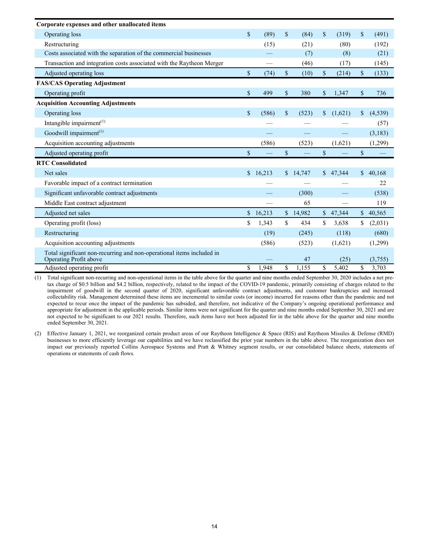| Corporate expenses and other unallocated items                                                  |               |        |             |           |             |          |              |          |
|-------------------------------------------------------------------------------------------------|---------------|--------|-------------|-----------|-------------|----------|--------------|----------|
| Operating loss                                                                                  | \$            | (89)   | \$          | (84)      | $\mathbf S$ | (319)    | \$           | (491)    |
| Restructuring                                                                                   |               | (15)   |             | (21)      |             | (80)     |              | (192)    |
| Costs associated with the separation of the commercial businesses                               |               |        |             | (7)       |             | (8)      |              | (21)     |
| Transaction and integration costs associated with the Raytheon Merger                           |               |        |             | (46)      |             | (17)     |              | (145)    |
| Adjusted operating loss                                                                         | \$            | (74)   | \$          | (10)      | \$          | (214)    | \$           | (133)    |
| <b>FAS/CAS Operating Adjustment</b>                                                             |               |        |             |           |             |          |              |          |
| Operating profit                                                                                | $\mathbf S$   | 499    | $\mathbf S$ | 380       | $\mathbf S$ | 1.347    | \$           | 736      |
| <b>Acquisition Accounting Adjustments</b>                                                       |               |        |             |           |             |          |              |          |
| Operating loss                                                                                  | $\mathcal{S}$ | (586)  | \$          | (523)     | \$          | (1,621)  | \$           | (4, 539) |
| Intangible impairment $(1)$                                                                     |               |        |             |           |             |          |              | (57)     |
| Goodwill impairment <sup>(1)</sup>                                                              |               |        |             |           |             |          |              | (3,183)  |
| Acquisition accounting adjustments                                                              |               | (586)  |             | (523)     |             | (1,621)  |              | (1,299)  |
| Adjusted operating profit                                                                       | $\mathbf S$   |        | $\mathbf S$ | <u>in</u> | $\mathbf S$ |          | \$           |          |
| <b>RTC Consolidated</b>                                                                         |               |        |             |           |             |          |              |          |
| Net sales                                                                                       | \$.           | 16,213 | \$.         | 14,747    |             | \$47,344 | \$           | 40,168   |
| Favorable impact of a contract termination                                                      |               |        |             |           |             |          |              | 22       |
| Significant unfavorable contract adjustments                                                    |               |        |             | (300)     |             |          |              | (538)    |
| Middle East contract adjustment                                                                 |               |        |             | 65        |             |          |              | 119      |
| Adjusted net sales                                                                              | \$            | 16,213 |             | \$14,982  |             | \$47,344 | $\mathbb{S}$ | 40,565   |
| Operating profit (loss)                                                                         | \$            | 1,343  | \$          | 434       | \$.         | 3,638    | \$           | (2,031)  |
| Restructuring                                                                                   |               | (19)   |             | (245)     |             | (118)    |              | (680)    |
| Acquisition accounting adjustments                                                              |               | (586)  |             | (523)     |             | (1,621)  |              | (1,299)  |
| Total significant non-recurring and non-operational items included in<br>Operating Profit above |               |        |             | 47        |             | (25)     |              | (3,755)  |
| Adjusted operating profit                                                                       | \$            | 1,948  | \$          | 1,155     | \$          | 5,402    | \$           | 3,703    |

(1) Total significant non-recurring and non-operational items in the table above for the quarter and nine months ended September 30, 2020 includes a net pretax charge of \$0.5 billion and \$4.2 billion, respectively, related to the impact of the COVID-19 pandemic, primarily consisting of charges related to the impairment of goodwill in the second quarter of 2020, significant unfavorable contract adjustments, and customer bankruptcies and increased collectability risk. Management determined these items are incremental to similar costs (or income) incurred for reasons other than the pandemic and not expected to recur once the impact of the pandemic has subsided, and therefore, not indicative of the Company's ongoing operational performance and appropriate for adjustment in the applicable periods. Similar items were not significant for the quarter and nine months ended September 30, 2021 and are not expected to be significant to our 2021 results. Therefore, such items have not been adjusted for in the table above for the quarter and nine months ended September 30, 2021.

(2) Effective January 1, 2021, we reorganized certain product areas of our Raytheon Intelligence & Space (RIS) and Raytheon Missiles & Defense (RMD) businesses to more efficiently leverage our capabilities and we have reclassified the prior year numbers in the table above. The reorganization does not impact our previously reported Collins Aerospace Systems and Pratt & Whitney segment results, or our consolidated balance sheets, statements of operations or statements of cash flows.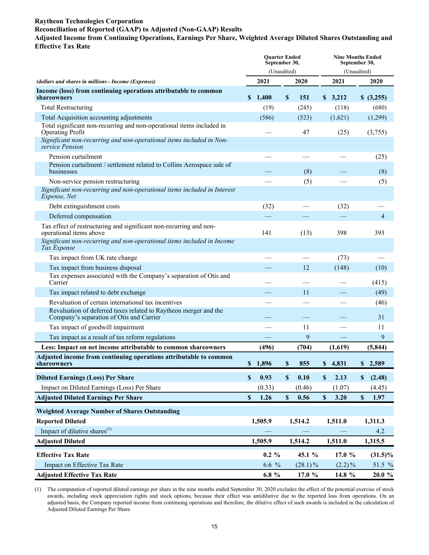# **Raytheon Technologies Corporation**

# **Reconciliation of Reported (GAAP) to Adjusted (Non-GAAP) Results**

#### **Adjusted Income from Continuing Operations, Earnings Per Share, Weighted Average Diluted Shares Outstanding and Effective Tax Rate**

|                                                                                                                         |                           | <b>Ouarter Ended</b><br>September 30,<br>(Unaudited) |                           |            |                           |           | <b>Nine Months Ended</b><br>September 30,<br>(Unaudited) |            |  |  |  |
|-------------------------------------------------------------------------------------------------------------------------|---------------------------|------------------------------------------------------|---------------------------|------------|---------------------------|-----------|----------------------------------------------------------|------------|--|--|--|
| (dollars and shares in millions - Income (Expense))                                                                     |                           | 2021                                                 |                           | 2020       |                           | 2021      |                                                          | 2020       |  |  |  |
| Income (loss) from continuing operations attributable to common<br>shareowners                                          | S.                        | 1,400                                                | \$                        | 151        |                           | \$3,212   |                                                          | \$ (3,255) |  |  |  |
| <b>Total Restructuring</b>                                                                                              |                           | (19)                                                 |                           | (245)      |                           | (118)     |                                                          | (680)      |  |  |  |
| Total Acquisition accounting adjustments                                                                                |                           | (586)                                                |                           | (523)      |                           | (1,621)   |                                                          | (1,299)    |  |  |  |
| Total significant non-recurring and non-operational items included in<br>Operating Profit                               |                           |                                                      |                           | 47         |                           | (25)      |                                                          | (3,755)    |  |  |  |
| Significant non-recurring and non-operational items included in Non-<br>service Pension                                 |                           |                                                      |                           |            |                           |           |                                                          |            |  |  |  |
| Pension curtailment                                                                                                     |                           |                                                      |                           |            |                           |           |                                                          | (25)       |  |  |  |
| Pension curtailment / settlement related to Collins Aerospace sale of<br>businesses                                     |                           |                                                      |                           | (8)        |                           |           |                                                          | (8)        |  |  |  |
| Non-service pension restructuring                                                                                       |                           |                                                      |                           | (5)        |                           |           |                                                          | (5)        |  |  |  |
| Significant non-recurring and non-operational items included in Interest<br>Expense, Net                                |                           |                                                      |                           |            |                           |           |                                                          |            |  |  |  |
| Debt extinguishment costs                                                                                               |                           | (32)                                                 |                           |            |                           | (32)      |                                                          |            |  |  |  |
| Deferred compensation                                                                                                   |                           |                                                      |                           |            |                           |           | $\overline{4}$                                           |            |  |  |  |
| Tax effect of restructuring and significant non-recurring and non-<br>operational items above                           |                           | 141                                                  |                           | (13)       |                           | 398       |                                                          | 393        |  |  |  |
| Significant non-recurring and non-operational items included in Income<br>Tax Expense                                   |                           |                                                      |                           |            |                           |           |                                                          |            |  |  |  |
| Tax impact from UK rate change                                                                                          |                           |                                                      |                           |            |                           | (73)      |                                                          |            |  |  |  |
| Tax impact from business disposal                                                                                       |                           |                                                      |                           | 12         |                           | (148)     |                                                          | (10)       |  |  |  |
| Tax expenses associated with the Company's separation of Otis and<br>Carrier                                            |                           |                                                      |                           |            |                           |           |                                                          | (415)      |  |  |  |
| Tax impact related to debt exchange                                                                                     |                           |                                                      |                           | 11         |                           |           |                                                          | (49)       |  |  |  |
| Revaluation of certain international tax incentives<br>Revaluation of deferred taxes related to Raytheon merger and the |                           |                                                      |                           |            |                           |           |                                                          | (46)       |  |  |  |
| Company's separation of Otis and Carrier                                                                                |                           |                                                      |                           |            |                           |           |                                                          | 31         |  |  |  |
| Tax impact of goodwill impairment                                                                                       |                           |                                                      |                           | 11         |                           |           |                                                          | 11         |  |  |  |
| Tax impact as a result of tax reform regulations                                                                        |                           |                                                      |                           | 9          |                           |           |                                                          | 9          |  |  |  |
| Less: Impact on net income attributable to common shareowners                                                           |                           | (496)                                                |                           | (704)      |                           | (1,619)   |                                                          | (5, 844)   |  |  |  |
| Adjusted income from continuing operations attributable to common<br>shareowners                                        |                           | \$1,896                                              | \$                        | 855        | \$                        | 4,831     |                                                          | \$2,589    |  |  |  |
| <b>Diluted Earnings (Loss) Per Share</b>                                                                                | $\mathbf{s}$              | 0.93                                                 | $\boldsymbol{\mathsf{S}}$ | 0.10       | $\boldsymbol{\mathsf{S}}$ | 2.13      | \$                                                       | (2.48)     |  |  |  |
| Impact on Diluted Earnings (Loss) Per Share                                                                             |                           | (0.33)                                               |                           | (0.46)     |                           | (1.07)    |                                                          | (4.45)     |  |  |  |
| <b>Adjusted Diluted Earnings Per Share</b>                                                                              | $\boldsymbol{\mathsf{S}}$ | 1.26                                                 | \$                        | 0.56       | \$                        | 3.20      | $\mathbb S$                                              | 1.97       |  |  |  |
| <b>Weighted Average Number of Shares Outstanding</b>                                                                    |                           |                                                      |                           |            |                           |           |                                                          |            |  |  |  |
| <b>Reported Diluted</b>                                                                                                 |                           | 1,505.9                                              |                           | 1,514.2    |                           | 1,511.0   |                                                          | 1,311.3    |  |  |  |
| Impact of dilutive shares <sup>(1)</sup>                                                                                |                           |                                                      |                           |            |                           |           |                                                          | 4.2        |  |  |  |
| <b>Adjusted Diluted</b>                                                                                                 |                           | 1,505.9                                              |                           | 1,514.2    |                           | 1,511.0   |                                                          | 1,315.5    |  |  |  |
| <b>Effective Tax Rate</b>                                                                                               |                           | $0.2 \%$                                             |                           | 45.1 %     |                           | 17.0 %    |                                                          | $(31.5)\%$ |  |  |  |
| Impact on Effective Tax Rate                                                                                            |                           | 6.6 %                                                |                           | $(28.1)\%$ |                           | $(2.2)\%$ |                                                          | 51.5 %     |  |  |  |
| <b>Adjusted Effective Tax Rate</b>                                                                                      |                           | $6.8 \%$                                             |                           | 17.0 %     |                           | 14.8 %    |                                                          | $20.0 \%$  |  |  |  |

(1) The computation of reported diluted earnings per share in the nine months ended September 30, 2020 excludes the effect of the potential exercise of stock awards, including stock appreciation rights and stock options, because their effect was antidilutive due to the reported loss from operations. On an adjusted basis, the Company reported income from continuing operations and therefore, the dilutive effect of such awards is included in the calculation of Adjusted Diluted Earnings Per Share.